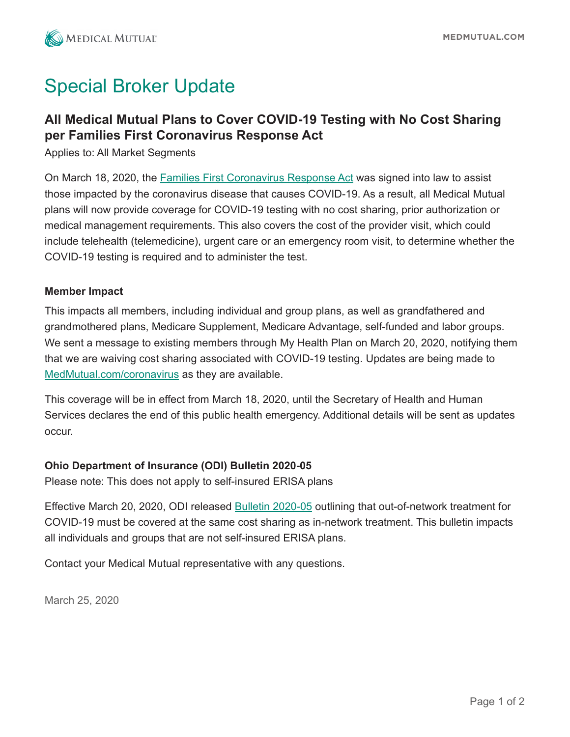

## Special Broker Update

### **All Medical Mutual Plans to Cover COVID-19 Testing with No Cost Sharing per Families First Coronavirus Response Act**

Applies to: All Market Segments

On March 18, 2020, th[e Families First Coronavirus Response Act w](https://static.cdn.responsys.net/i5/responsysimages/content/medmutualoh/COVID-19_Coverage_HR.6201.pdf)as signed into law to assist those impacted by the coronavirus disease that causes COVID-19. As a result, all Medical Mutual plans will now provide coverage for COVID-19 testing with no cost sharing, prior authorization or medical management requirements. This also covers the cost of the provider visit, which could include telehealth (telemedicine), urgent care or an emergency room visit, to determine whether the COVID-19 testing is required and to administer the test.

#### **Member Impact**

This impacts all members, including individual and group plans, as well as grandfathered and grandmothered plans, Medicare Supplement, Medicare Advantage, self-funded and labor groups. We sent a message to existing members through My Health Plan on March 20, 2020, notifying them that we are waiving cost sharing associated with COVID-19 testing. Updates are being made to [MedMutual.com/coronavirus a](https://www.medmutual.com/coronavirus)s they are available.

This coverage will be in effect from March 18, 2020, until the Secretary of Health and Human Services declares the end of this public health emergency. Additional details will be sent as updates occur.

#### **Ohio Department of Insurance (ODI) Bulletin 2020-05**

Please note: This does not apply to self-insured ERISA plans

Effective March 20, 2020, ODI release[d Bulletin 2020-05](https://static.cdn.responsys.net/i5/responsysimages/content/medmutualoh/ODI_Bulletin_2020-05_COVID-19_TESTING_AND_TREATMENT.pdf) outlining that out-of-network treatment for COVID-19 must be covered at the same cost sharing as in-network treatment. This bulletin impacts all individuals and groups that are not self-insured ERISA plans.

Contact your Medical Mutual representative with any questions.

March 25, 2020